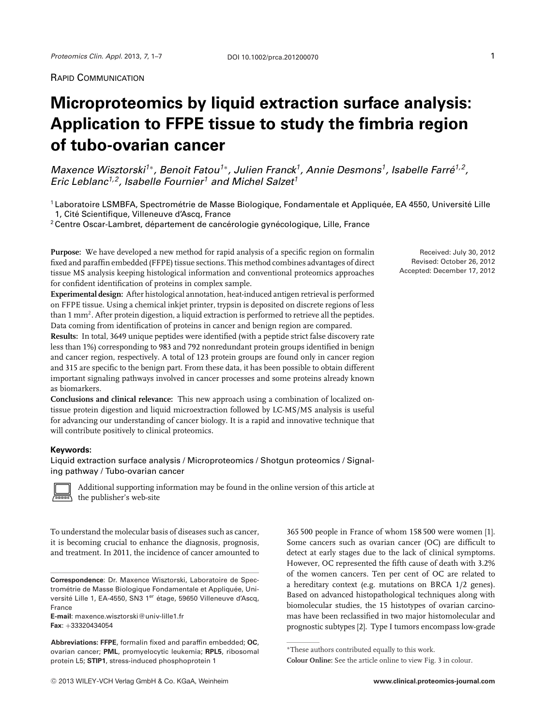RAPID COMMUNICATION

## **Microproteomics by liquid extraction surface analysis: Application to FFPE tissue to study the fimbria region of tubo-ovarian cancer**

*Maxence Wisztorski<sup>1</sup>*∗*, Benoit Fatou<sup>1</sup>*∗*, Julien Franck1, Annie Desmons1, Isabelle Farre´ 1,2, Eric Leblanc1,2, Isabelle Fournier1 and Michel Salzet1*

<sup>1</sup> Laboratoire LSMBFA, Spectrométrie de Masse Biologique, Fondamentale et Appliquée, EA 4550, Université Lille 1, Cité Scientifique, Villeneuve d'Ascq, France

 $2$  Centre Oscar-Lambret, département de cancérologie gynécologique, Lille, France

**Purpose:** We have developed a new method for rapid analysis of a specific region on formalin fixed and paraffin embedded (FFPE) tissue sections. This method combines advantages of direct tissue MS analysis keeping histological information and conventional proteomics approaches for confident identification of proteins in complex sample.

**Experimental design:** After histological annotation, heat-induced antigen retrieval is performed on FFPE tissue. Using a chemical inkjet printer, trypsin is deposited on discrete regions of less than 1 mm2. After protein digestion, a liquid extraction is performed to retrieve all the peptides. Data coming from identification of proteins in cancer and benign region are compared.

**Results:** In total, 3649 unique peptides were identified (with a peptide strict false discovery rate less than 1%) corresponding to 983 and 792 nonredundant protein groups identified in benign and cancer region, respectively. A total of 123 protein groups are found only in cancer region and 315 are specific to the benign part. From these data, it has been possible to obtain different important signaling pathways involved in cancer processes and some proteins already known as biomarkers.

**Conclusions and clinical relevance:** This new approach using a combination of localized ontissue protein digestion and liquid microextraction followed by LC-MS/MS analysis is useful for advancing our understanding of cancer biology. It is a rapid and innovative technique that will contribute positively to clinical proteomics.

## **Keywords:**

Liquid extraction surface analysis / Microproteomics / Shotgun proteomics / Signaling pathway / Tubo-ovarian cancer



Additional supporting information may be found in the online version of this article at the publisher's web-site

To understand the molecular basis of diseases such as cancer, it is becoming crucial to enhance the diagnosis, prognosis, and treatment. In 2011, the incidence of cancer amounted to

**Correspondence**: Dr. Maxence Wisztorski, Laboratoire de Spectrométrie de Masse Biologique Fondamentale et Appliquée, Université Lille 1, EA-4550, SN3 1er étage, 59650 Villeneuve d'Ascq, France

**E-mail**: maxence.wisztorski@univ-lille1.fr **Fax**: +33320434054

**Abbreviations: FFPE**, formalin fixed and paraffin embedded; **OC**, ovarian cancer; **PML**, promyelocytic leukemia; **RPL5**, ribosomal protein L5; **STIP1**, stress-induced phosphoprotein 1

365 500 people in France of whom 158 500 were women [1]. Some cancers such as ovarian cancer (OC) are difficult to detect at early stages due to the lack of clinical symptoms. However, OC represented the fifth cause of death with 3.2% of the women cancers. Ten per cent of OC are related to a hereditary context (e.g. mutations on BRCA 1/2 genes). Based on advanced histopathological techniques along with biomolecular studies, the 15 histotypes of ovarian carcinomas have been reclassified in two major histomolecular and prognostic subtypes [2]. Type I tumors encompass low-grade

Received: July 30, 2012 Revised: October 26, 2012 Accepted: December 17, 2012

<sup>∗</sup>These authors contributed equally to this work.

**Colour Online:** See the article online to view Fig. 3 in colour.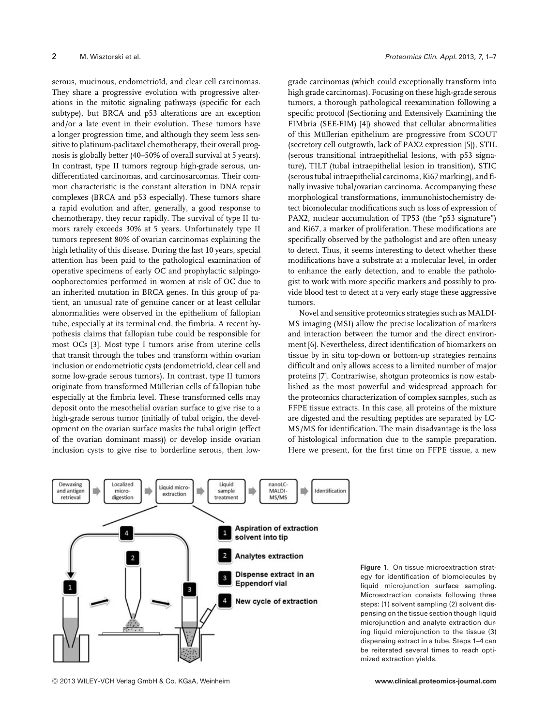serous, mucinous, endometrioïd, and clear cell carcinomas. They share a progressive evolution with progressive alterations in the mitotic signaling pathways (specific for each subtype), but BRCA and p53 alterations are an exception and/or a late event in their evolution. These tumors have a longer progression time, and although they seem less sensitive to platinum-paclitaxel chemotherapy, their overall prognosis is globally better (40–50% of overall survival at 5 years). In contrast, type II tumors regroup high-grade serous, undifferentiated carcinomas, and carcinosarcomas. Their common characteristic is the constant alteration in DNA repair complexes (BRCA and p53 especially). These tumors share a rapid evolution and after, generally, a good response to chemotherapy, they recur rapidly. The survival of type II tumors rarely exceeds 30% at 5 years. Unfortunately type II tumors represent 80% of ovarian carcinomas explaining the high lethality of this disease. During the last 10 years, special attention has been paid to the pathological examination of operative specimens of early OC and prophylactic salpingooophorectomies performed in women at risk of OC due to an inherited mutation in BRCA genes. In this group of patient, an unusual rate of genuine cancer or at least cellular abnormalities were observed in the epithelium of fallopian tube, especially at its terminal end, the fimbria. A recent hypothesis claims that fallopian tube could be responsible for most OCs [3]. Most type I tumors arise from uterine cells that transit through the tubes and transform within ovarian inclusion or endometriotic cysts (endometrioïd, clear cell and some low-grade serous tumors). In contrast, type II tumors originate from transformed Mullerian cells of fallopian tube ¨ especially at the fimbria level. These transformed cells may deposit onto the mesothelial ovarian surface to give rise to a high-grade serous tumor (initially of tubal origin, the development on the ovarian surface masks the tubal origin (effect of the ovarian dominant mass)) or develop inside ovarian inclusion cysts to give rise to borderline serous, then lowgrade carcinomas (which could exceptionally transform into high grade carcinomas). Focusing on these high-grade serous tumors, a thorough pathological reexamination following a specific protocol (Sectioning and Extensively Examining the FIMbria (SEE-FIM) [4]) showed that cellular abnormalities of this Müllerian epithelium are progressive from SCOUT (secretory cell outgrowth, lack of PAX2 expression [5]), STIL (serous transitional intraepithelial lesions, with p53 signature), TILT (tubal intraepithelial lesion in transition), STIC (serous tubal intraepithelial carcinoma, Ki67 marking), and finally invasive tubal/ovarian carcinoma. Accompanying these morphological transformations, immunohistochemistry detect biomolecular modifications such as loss of expression of PAX2, nuclear accumulation of TP53 (the "p53 signature") and Ki67, a marker of proliferation. These modifications are specifically observed by the pathologist and are often uneasy to detect. Thus, it seems interesting to detect whether these modifications have a substrate at a molecular level, in order to enhance the early detection, and to enable the pathologist to work with more specific markers and possibly to provide blood test to detect at a very early stage these aggressive tumors.

Novel and sensitive proteomics strategies such as MALDI-MS imaging (MSI) allow the precise localization of markers and interaction between the tumor and the direct environment [6]. Nevertheless, direct identification of biomarkers on tissue by in situ top-down or bottom-up strategies remains difficult and only allows access to a limited number of major proteins [7]. Contrariwise, shotgun proteomics is now established as the most powerful and widespread approach for the proteomics characterization of complex samples, such as FFPE tissue extracts. In this case, all proteins of the mixture are digested and the resulting peptides are separated by LC-MS/MS for identification. The main disadvantage is the loss of histological information due to the sample preparation. Here we present, for the first time on FFPE tissue, a new



**Figure 1.** On tissue microextraction strategy for identification of biomolecules by liquid microjunction surface sampling. Microextraction consists following three steps: (1) solvent sampling (2) solvent dispensing on the tissue section though liquid microjunction and analyte extraction during liquid microjunction to the tissue (3) dispensing extract in a tube. Steps 1–4 can be reiterated several times to reach optimized extraction yields.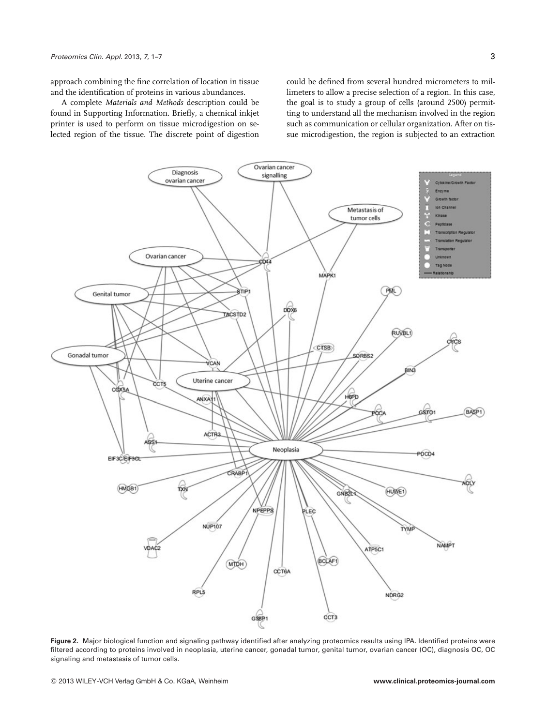approach combining the fine correlation of location in tissue and the identification of proteins in various abundances.

A complete *Materials and Methods* description could be found in Supporting Information. Briefly, a chemical inkjet printer is used to perform on tissue microdigestion on selected region of the tissue. The discrete point of digestion could be defined from several hundred micrometers to millimeters to allow a precise selection of a region. In this case, the goal is to study a group of cells (around 2500) permitting to understand all the mechanism involved in the region such as communication or cellular organization. After on tissue microdigestion, the region is subjected to an extraction



**Figure 2.** Major biological function and signaling pathway identified after analyzing proteomics results using IPA. Identified proteins were filtered according to proteins involved in neoplasia, uterine cancer, gonadal tumor, genital tumor, ovarian cancer (OC), diagnosis OC, OC signaling and metastasis of tumor cells.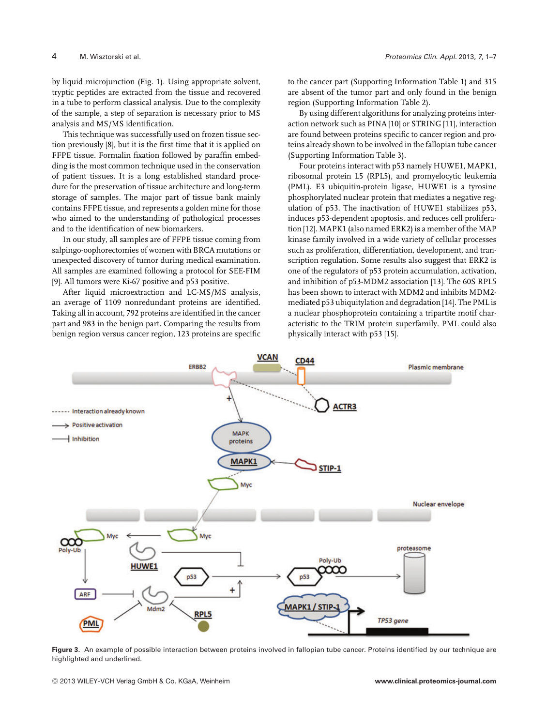by liquid microjunction (Fig. 1). Using appropriate solvent, tryptic peptides are extracted from the tissue and recovered in a tube to perform classical analysis. Due to the complexity of the sample, a step of separation is necessary prior to MS analysis and MS/MS identification.

This technique was successfully used on frozen tissue section previously [8], but it is the first time that it is applied on FFPE tissue. Formalin fixation followed by paraffin embedding is the most common technique used in the conservation of patient tissues. It is a long established standard procedure for the preservation of tissue architecture and long-term storage of samples. The major part of tissue bank mainly contains FFPE tissue, and represents a golden mine for those who aimed to the understanding of pathological processes and to the identification of new biomarkers.

In our study, all samples are of FFPE tissue coming from salpingo-oophorectomies of women with BRCA mutations or unexpected discovery of tumor during medical examination. All samples are examined following a protocol for SEE-FIM [9]. All tumors were Ki-67 positive and p53 positive.

After liquid microextraction and LC-MS/MS analysis, an average of 1109 nonredundant proteins are identified. Taking all in account, 792 proteins are identified in the cancer part and 983 in the benign part. Comparing the results from benign region versus cancer region, 123 proteins are specific to the cancer part (Supporting Information Table 1) and 315 are absent of the tumor part and only found in the benign region (Supporting Information Table 2).

By using different algorithms for analyzing proteins interaction network such as PINA [10] or STRING [11], interaction are found between proteins specific to cancer region and proteins already shown to be involved in the fallopian tube cancer (Supporting Information Table 3).

Four proteins interact with p53 namely HUWE1, MAPK1, ribosomal protein L5 (RPL5), and promyelocytic leukemia (PML). E3 ubiquitin-protein ligase, HUWE1 is a tyrosine phosphorylated nuclear protein that mediates a negative regulation of p53. The inactivation of HUWE1 stabilizes p53, induces p53-dependent apoptosis, and reduces cell proliferation [12]. MAPK1 (also named ERK2) is a member of the MAP kinase family involved in a wide variety of cellular processes such as proliferation, differentiation, development, and transcription regulation. Some results also suggest that ERK2 is one of the regulators of p53 protein accumulation, activation, and inhibition of p53-MDM2 association [13]. The 60S RPL5 has been shown to interact with MDM2 and inhibits MDM2 mediated p53 ubiquitylation and degradation [14]. The PML is a nuclear phosphoprotein containing a tripartite motif characteristic to the TRIM protein superfamily. PML could also physically interact with p53 [15].



**Figure 3.** An example of possible interaction between proteins involved in fallopian tube cancer. Proteins identified by our technique are highlighted and underlined.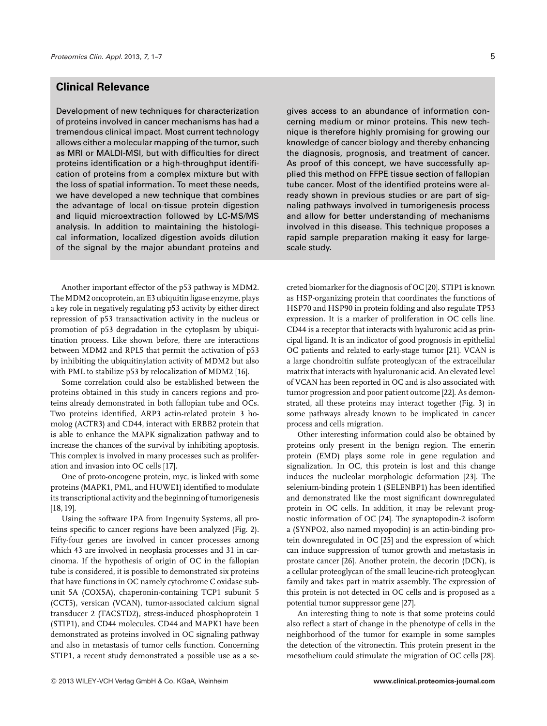## **Clinical Relevance**

Development of new techniques for characterization of proteins involved in cancer mechanisms has had a tremendous clinical impact. Most current technology allows either a molecular mapping of the tumor, such as MRI or MALDI-MSI, but with difficulties for direct proteins identification or a high-throughput identification of proteins from a complex mixture but with the loss of spatial information. To meet these needs, we have developed a new technique that combines the advantage of local on-tissue protein digestion and liquid microextraction followed by LC-MS/MS analysis. In addition to maintaining the histological information, localized digestion avoids dilution of the signal by the major abundant proteins and

Another important effector of the p53 pathway is MDM2. The MDM2 oncoprotein, an E3 ubiquitin ligase enzyme, plays a key role in negatively regulating p53 activity by either direct repression of p53 transactivation activity in the nucleus or promotion of p53 degradation in the cytoplasm by ubiquitination process. Like shown before, there are interactions between MDM2 and RPL5 that permit the activation of p53 by inhibiting the ubiquitinylation activity of MDM2 but also with PML to stabilize p53 by relocalization of MDM2 [16].

Some correlation could also be established between the proteins obtained in this study in cancers regions and proteins already demonstrated in both fallopian tube and OCs. Two proteins identified, ARP3 actin-related protein 3 homolog (ACTR3) and CD44, interact with ERBB2 protein that is able to enhance the MAPK signalization pathway and to increase the chances of the survival by inhibiting apoptosis. This complex is involved in many processes such as proliferation and invasion into OC cells [17].

One of proto-oncogene protein, myc, is linked with some proteins (MAPK1, PML, and HUWE1) identified to modulate its transcriptional activity and the beginning of tumorigenesis [18, 19].

Using the software IPA from Ingenuity Systems, all proteins specific to cancer regions have been analyzed (Fig. 2). Fifty-four genes are involved in cancer processes among which 43 are involved in neoplasia processes and 31 in carcinoma. If the hypothesis of origin of OC in the fallopian tube is considered, it is possible to demonstrated six proteins that have functions in OC namely cytochrome C oxidase subunit 5A (COX5A), chaperonin-containing TCP1 subunit 5 (CCT5), versican (VCAN), tumor-associated calcium signal transducer 2 (TACSTD2), stress-induced phosphoprotein 1 (STIP1), and CD44 molecules. CD44 and MAPK1 have been demonstrated as proteins involved in OC signaling pathway and also in metastasis of tumor cells function. Concerning STIP1, a recent study demonstrated a possible use as a se-

gives access to an abundance of information concerning medium or minor proteins. This new technique is therefore highly promising for growing our knowledge of cancer biology and thereby enhancing the diagnosis, prognosis, and treatment of cancer. As proof of this concept, we have successfully applied this method on FFPE tissue section of fallopian tube cancer. Most of the identified proteins were already shown in previous studies or are part of signaling pathways involved in tumorigenesis process and allow for better understanding of mechanisms involved in this disease. This technique proposes a rapid sample preparation making it easy for largescale study.

creted biomarker for the diagnosis of OC [20]. STIP1 is known as HSP-organizing protein that coordinates the functions of HSP70 and HSP90 in protein folding and also regulate TP53 expression. It is a marker of proliferation in OC cells line. CD44 is a receptor that interacts with hyaluronic acid as principal ligand. It is an indicator of good prognosis in epithelial OC patients and related to early-stage tumor [21]. VCAN is a large chondroitin sulfate proteoglycan of the extracellular matrix that interacts with hyaluronanic acid. An elevated level of VCAN has been reported in OC and is also associated with tumor progression and poor patient outcome [22]. As demonstrated, all these proteins may interact together (Fig. 3) in some pathways already known to be implicated in cancer process and cells migration.

Other interesting information could also be obtained by proteins only present in the benign region. The emerin protein (EMD) plays some role in gene regulation and signalization. In OC, this protein is lost and this change induces the nucleolar morphologic deformation [23]. The selenium-binding protein 1 (SELENBP1) has been identified and demonstrated like the most significant downregulated protein in OC cells. In addition, it may be relevant prognostic information of OC [24]. The synaptopodin-2 isoform a (SYNPO2, also named myopodin) is an actin-binding protein downregulated in OC [25] and the expression of which can induce suppression of tumor growth and metastasis in prostate cancer [26]. Another protein, the decorin (DCN), is a cellular proteoglycan of the small leucine-rich proteoglycan family and takes part in matrix assembly. The expression of this protein is not detected in OC cells and is proposed as a potential tumor suppressor gene [27].

An interesting thing to note is that some proteins could also reflect a start of change in the phenotype of cells in the neighborhood of the tumor for example in some samples the detection of the vitronectin. This protein present in the mesothelium could stimulate the migration of OC cells [28].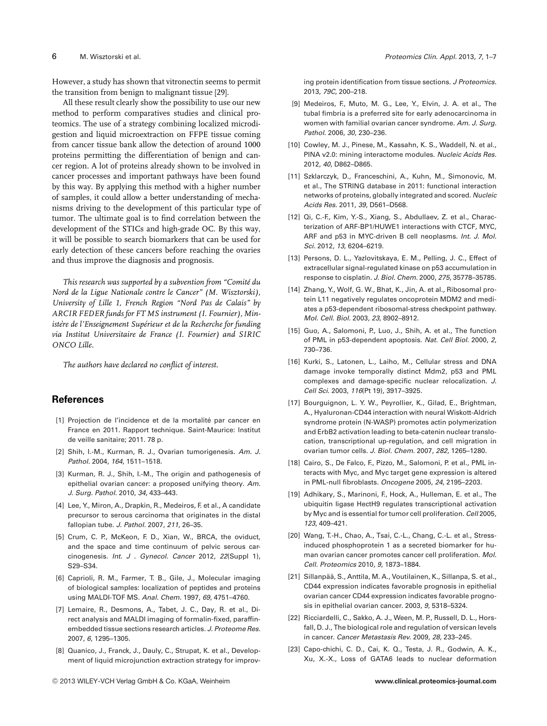However, a study has shown that vitronectin seems to permit the transition from benign to malignant tissue [29].

All these result clearly show the possibility to use our new method to perform comparatives studies and clinical proteomics. The use of a strategy combining localized microdigestion and liquid microextraction on FFPE tissue coming from cancer tissue bank allow the detection of around 1000 proteins permitting the differentiation of benign and cancer region. A lot of proteins already shown to be involved in cancer processes and important pathways have been found by this way. By applying this method with a higher number of samples, it could allow a better understanding of mechanisms driving to the development of this particular type of tumor. The ultimate goal is to find correlation between the development of the STICs and high-grade OC. By this way, it will be possible to search biomarkers that can be used for early detection of these cancers before reaching the ovaries and thus improve the diagnosis and prognosis.

*This research was supported by a subvention from "Comite du ´ Nord de la Ligue Nationale contre le Cancer" (M. Wisztorski), University of Lille 1, French Region "Nord Pas de Calais" by ARCIR FEDER funds for FT MS instrument (I. Fournier), Ministère de l'Enseignement Supérieur et de la Recherche for funding via Institut Universitaire de France (I. Fournier) and SIRIC ONCO Lille.*

*The authors have declared no conflict of interest.*

## **References**

- [1] Projection de l'incidence et de la mortalité par cancer en France en 2011. Rapport technique. Saint-Maurice: Institut de veille sanitaire; 2011. 78 p.
- [2] Shih, I.-M., Kurman, R. J., Ovarian tumorigenesis. *Am. J. Pathol.* 2004, *164*, 1511–1518.
- [3] Kurman, R. J., Shih, I.-M., The origin and pathogenesis of epithelial ovarian cancer: a proposed unifying theory. *Am. J. Surg. Pathol.* 2010, *34*, 433–443.
- [4] Lee, Y., Miron, A., Drapkin, R., Medeiros, F. et al., A candidate precursor to serous carcinoma that originates in the distal fallopian tube. *J. Pathol.* 2007, *211*, 26–35.
- [5] Crum, C. P., McKeon, F. D., Xian, W., BRCA, the oviduct, and the space and time continuum of pelvic serous carcinogenesis. *Int. J . Gynecol. Cancer* 2012, *22*(Suppl 1), S29–S34.
- [6] Caprioli, R. M., Farmer, T. B., Gile, J., Molecular imaging of biological samples: localization of peptides and proteins using MALDI-TOF MS. *Anal. Chem.* 1997, *69*, 4751–4760.
- [7] Lemaire, R., Desmons, A., Tabet, J. C., Day, R. et al., Direct analysis and MALDI imaging of formalin-fixed, paraffinembedded tissue sections research articles. *J. Proteome Res.* 2007, *6*, 1295–1305.
- [8] Quanico, J., Franck, J., Dauly, C., Strupat, K. et al., Development of liquid microjunction extraction strategy for improv-

ing protein identification from tissue sections. *J Proteomics.* 2013, *79C*, 200–218.

- [9] Medeiros, F., Muto, M. G., Lee, Y., Elvin, J. A. et al., The tubal fimbria is a preferred site for early adenocarcinoma in women with familial ovarian cancer syndrome. *Am. J. Surg. Pathol.* 2006, *30*, 230–236.
- [10] Cowley, M. J., Pinese, M., Kassahn, K. S., Waddell, N. et al., PINA v2.0: mining interactome modules. *Nucleic Acids Res.* 2012, *40*, D862–D865.
- [11] Szklarczyk, D., Franceschini, A., Kuhn, M., Simonovic, M. et al., The STRING database in 2011: functional interaction networks of proteins, globally integrated and scored. *Nucleic Acids Res.* 2011, *39*, D561–D568.
- [12] Qi, C.-F., Kim, Y.-S., Xiang, S., Abdullaev, Z. et al., Characterization of ARF-BP1/HUWE1 interactions with CTCF, MYC, ARF and p53 in MYC-driven B cell neoplasms. *Int. J. Mol. Sci.* 2012, *13*, 6204–6219.
- [13] Persons, D. L., Yazlovitskaya, E. M., Pelling, J. C., Effect of extracellular signal-regulated kinase on p53 accumulation in response to cisplatin. *J. Biol. Chem.* 2000, *275*, 35778–35785.
- [14] Zhang, Y., Wolf, G. W., Bhat, K., Jin, A. et al., Ribosomal protein L11 negatively regulates oncoprotein MDM2 and mediates a p53-dependent ribosomal-stress checkpoint pathway. *Mol. Cell. Biol.* 2003, *23*, 8902–8912.
- [15] Guo, A., Salomoni, P., Luo, J., Shih, A. et al., The function of PML in p53-dependent apoptosis. *Nat. Cell Biol.* 2000, *2*, 730–736.
- [16] Kurki, S., Latonen, L., Laiho, M., Cellular stress and DNA damage invoke temporally distinct Mdm2, p53 and PML complexes and damage-specific nuclear relocalization. *J. Cell Sci.* 2003, *116*(Pt 19), 3917–3925.
- [17] Bourguignon, L. Y. W., Peyrollier, K., Gilad, E., Brightman, A., Hyaluronan-CD44 interaction with neural Wiskott-Aldrich syndrome protein (N-WASP) promotes actin polymerization and ErbB2 activation leading to beta-catenin nuclear translocation, transcriptional up-regulation, and cell migration in ovarian tumor cells. *J. Biol. Chem.* 2007, *282*, 1265–1280.
- [18] Cairo, S., De Falco, F., Pizzo, M., Salomoni, P. et al., PML interacts with Myc, and Myc target gene expression is altered in PML-null fibroblasts. *Oncogene* 2005, *24*, 2195–2203.
- [19] Adhikary, S., Marinoni, F., Hock, A., Hulleman, E. et al., The ubiquitin ligase HectH9 regulates transcriptional activation by Myc and is essential for tumor cell proliferation. *Cell* 2005, *123*, 409–421.
- [20] Wang, T.-H., Chao, A., Tsai, C.-L., Chang, C.-L. et al., Stressinduced phosphoprotein 1 as a secreted biomarker for human ovarian cancer promotes cancer cell proliferation. *Mol. Cell. Proteomics* 2010, *9*, 1873–1884.
- [21] Sillanpää, S., Anttila, M. A., Voutilainen, K., Sillanpa, S. et al., CD44 expression indicates favorable prognosis in epithelial ovarian cancer CD44 expression indicates favorable prognosis in epithelial ovarian cancer. 2003, *9*, 5318–5324.
- [22] Ricciardelli, C., Sakko, A. J., Ween, M. P., Russell, D. L., Horsfall, D. J., The biological role and regulation of versican levels in cancer. *Cancer Metastasis Rev.* 2009, *28*, 233–245.
- [23] Capo-chichi, C. D., Cai, K. Q., Testa, J. R., Godwin, A. K., Xu, X.-X., Loss of GATA6 leads to nuclear deformation